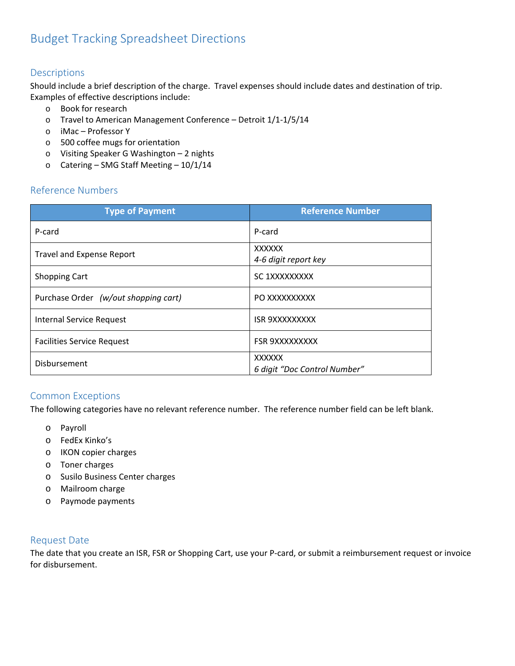### Descriptions

Should include a brief description of the charge. Travel expenses should include dates and destination of trip. Examples of effective descriptions include:

- o Book for research
- o Travel to American Management Conference Detroit 1/1‐1/5/14
- o iMac Professor Y
- o 500 coffee mugs for orientation
- o Visiting Speaker G Washington 2 nights
- o Catering SMG Staff Meeting 10/1/14

# Reference Numbers

| <b>Type of Payment</b>               | <b>Reference Number</b>                       |
|--------------------------------------|-----------------------------------------------|
| P-card                               | P-card                                        |
| <b>Travel and Expense Report</b>     | <b>XXXXXX</b><br>4-6 digit report key         |
| <b>Shopping Cart</b>                 | SC 1XXXXXXXXX                                 |
| Purchase Order (w/out shopping cart) | PO XXXXXXXXXX                                 |
| <b>Internal Service Request</b>      | <b>ISR 9XXXXXXXXX</b>                         |
| <b>Facilities Service Request</b>    | <b>FSR 9XXXXXXXXX</b>                         |
| Disbursement                         | <b>XXXXXX</b><br>6 digit "Doc Control Number" |

# Common Exceptions

The following categories have no relevant reference number. The reference number field can be left blank.

- o Payroll
- o FedEx Kinko's
- o IKON copier charges
- o Toner charges
- o Susilo Business Center charges
- o Mailroom charge
- o Paymode payments

#### Request Date

The date that you create an ISR, FSR or Shopping Cart, use your P-card, or submit a reimbursement request or invoice for disbursement.